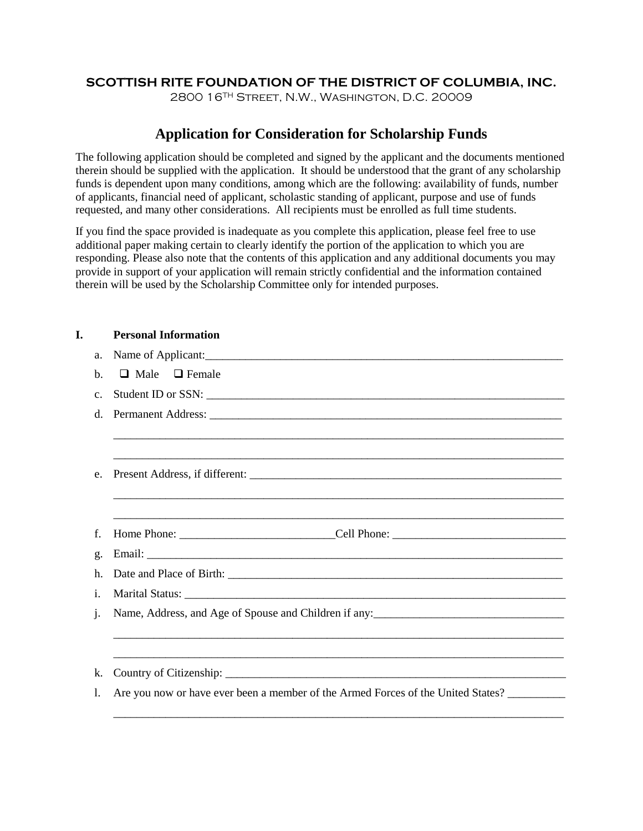# **SCOTTISH RITE FOUNDATION OF THE DISTRICT OF COLUMBIA, INC.**

2800 16TH Street, N.W., Washington, D.C. 20009

# **Application for Consideration for Scholarship Funds**

The following application should be completed and signed by the applicant and the documents mentioned therein should be supplied with the application. It should be understood that the grant of any scholarship funds is dependent upon many conditions, among which are the following: availability of funds, number of applicants, financial need of applicant, scholastic standing of applicant, purpose and use of funds requested, and many other considerations. All recipients must be enrolled as full time students.

If you find the space provided is inadequate as you complete this application, please feel free to use additional paper making certain to clearly identify the portion of the application to which you are responding. Please also note that the contents of this application and any additional documents you may provide in support of your application will remain strictly confidential and the information contained therein will be used by the Scholarship Committee only for intended purposes.

## **I. Personal Information**

|                | a. Name of Applicant:                                                            |
|----------------|----------------------------------------------------------------------------------|
| b.             | $\Box$ Male $\Box$ Female                                                        |
| C <sub>1</sub> |                                                                                  |
|                |                                                                                  |
|                |                                                                                  |
|                |                                                                                  |
| e.             |                                                                                  |
|                |                                                                                  |
|                | <u> 1989 - Jan Barnett, fransk politik (d. 1989)</u>                             |
| f.             |                                                                                  |
| $\mathbf{g}$ . |                                                                                  |
| h.             |                                                                                  |
| i.             |                                                                                  |
| j.             |                                                                                  |
|                |                                                                                  |
|                |                                                                                  |
| k.             |                                                                                  |
| 1.             | Are you now or have ever been a member of the Armed Forces of the United States? |

\_\_\_\_\_\_\_\_\_\_\_\_\_\_\_\_\_\_\_\_\_\_\_\_\_\_\_\_\_\_\_\_\_\_\_\_\_\_\_\_\_\_\_\_\_\_\_\_\_\_\_\_\_\_\_\_\_\_\_\_\_\_\_\_\_\_\_\_\_\_\_\_\_\_\_\_\_\_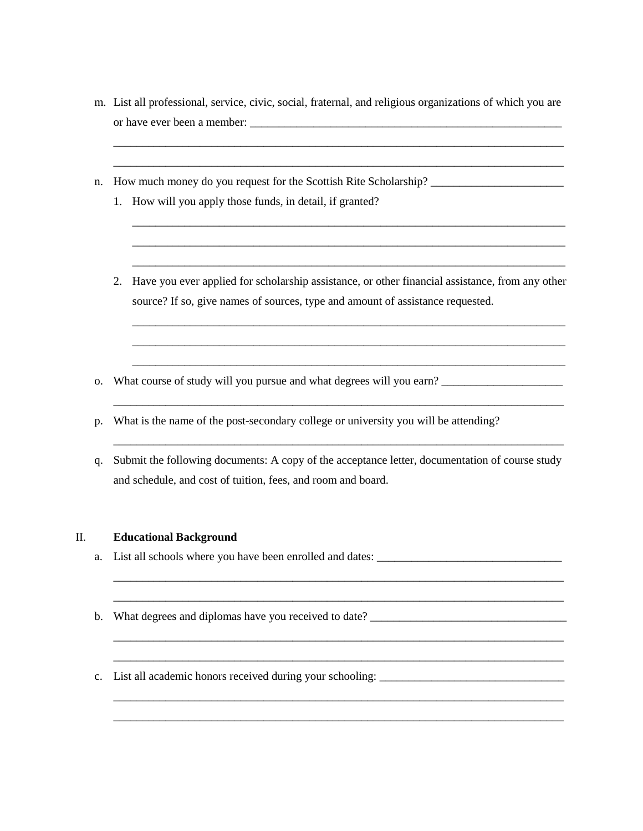m. List all professional, service, civic, social, fraternal, and religious organizations of which you are or have ever been a member:

\_\_\_\_\_\_\_\_\_\_\_\_\_\_\_\_\_\_\_\_\_\_\_\_\_\_\_\_\_\_\_\_\_\_\_\_\_\_\_\_\_\_\_\_\_\_\_\_\_\_\_\_\_\_\_\_\_\_\_\_\_\_\_\_\_\_\_\_\_\_\_\_\_\_\_\_\_\_ \_\_\_\_\_\_\_\_\_\_\_\_\_\_\_\_\_\_\_\_\_\_\_\_\_\_\_\_\_\_\_\_\_\_\_\_\_\_\_\_\_\_\_\_\_\_\_\_\_\_\_\_\_\_\_\_\_\_\_\_\_\_\_\_\_\_\_\_\_\_\_\_\_\_\_\_\_\_

- n. How much money do you request for the Scottish Rite Scholarship? \_\_\_\_\_\_\_\_\_\_\_\_\_\_\_\_\_\_\_\_\_\_\_
	- 1. How will you apply those funds, in detail, if granted?
	- 2. Have you ever applied for scholarship assistance, or other financial assistance, from any other source? If so, give names of sources, type and amount of assistance requested.

\_\_\_\_\_\_\_\_\_\_\_\_\_\_\_\_\_\_\_\_\_\_\_\_\_\_\_\_\_\_\_\_\_\_\_\_\_\_\_\_\_\_\_\_\_\_\_\_\_\_\_\_\_\_\_\_\_\_\_\_\_\_\_\_\_\_\_\_\_\_\_\_\_\_\_\_\_\_

\_\_\_\_\_\_\_\_\_\_\_\_\_\_\_\_\_\_\_\_\_\_\_\_\_\_\_\_\_\_\_\_\_\_\_\_\_\_\_\_\_\_\_\_\_\_\_\_\_\_\_\_\_\_\_\_\_\_\_\_\_\_\_\_\_\_\_\_\_\_\_\_\_\_\_\_\_\_

\_\_\_\_\_\_\_\_\_\_\_\_\_\_\_\_\_\_\_\_\_\_\_\_\_\_\_\_\_\_\_\_\_\_\_\_\_\_\_\_\_\_\_\_\_\_\_\_\_\_\_\_\_\_\_\_\_\_\_\_\_\_\_\_\_\_\_\_\_\_\_\_\_\_\_\_\_\_ \_\_\_\_\_\_\_\_\_\_\_\_\_\_\_\_\_\_\_\_\_\_\_\_\_\_\_\_\_\_\_\_\_\_\_\_\_\_\_\_\_\_\_\_\_\_\_\_\_\_\_\_\_\_\_\_\_\_\_\_\_\_\_\_\_\_\_\_\_\_\_\_\_\_\_\_\_\_

\_\_\_\_\_\_\_\_\_\_\_\_\_\_\_\_\_\_\_\_\_\_\_\_\_\_\_\_\_\_\_\_\_\_\_\_\_\_\_\_\_\_\_\_\_\_\_\_\_\_\_\_\_\_\_\_\_\_\_\_\_\_\_\_\_\_\_\_\_\_\_\_\_\_\_\_\_\_ \_\_\_\_\_\_\_\_\_\_\_\_\_\_\_\_\_\_\_\_\_\_\_\_\_\_\_\_\_\_\_\_\_\_\_\_\_\_\_\_\_\_\_\_\_\_\_\_\_\_\_\_\_\_\_\_\_\_\_\_\_\_\_\_\_\_\_\_\_\_\_\_\_\_\_\_\_\_

\_\_\_\_\_\_\_\_\_\_\_\_\_\_\_\_\_\_\_\_\_\_\_\_\_\_\_\_\_\_\_\_\_\_\_\_\_\_\_\_\_\_\_\_\_\_\_\_\_\_\_\_\_\_\_\_\_\_\_\_\_\_\_\_\_\_\_\_\_\_\_\_\_\_\_\_\_\_ \_\_\_\_\_\_\_\_\_\_\_\_\_\_\_\_\_\_\_\_\_\_\_\_\_\_\_\_\_\_\_\_\_\_\_\_\_\_\_\_\_\_\_\_\_\_\_\_\_\_\_\_\_\_\_\_\_\_\_\_\_\_\_\_\_\_\_\_\_\_\_\_\_\_\_\_\_\_

\_\_\_\_\_\_\_\_\_\_\_\_\_\_\_\_\_\_\_\_\_\_\_\_\_\_\_\_\_\_\_\_\_\_\_\_\_\_\_\_\_\_\_\_\_\_\_\_\_\_\_\_\_\_\_\_\_\_\_\_\_\_\_\_\_\_\_\_\_\_\_\_\_\_\_ \_\_\_\_\_\_\_\_\_\_\_\_\_\_\_\_\_\_\_\_\_\_\_\_\_\_\_\_\_\_\_\_\_\_\_\_\_\_\_\_\_\_\_\_\_\_\_\_\_\_\_\_\_\_\_\_\_\_\_\_\_\_\_\_\_\_\_\_\_\_\_\_\_\_\_ \_\_\_\_\_\_\_\_\_\_\_\_\_\_\_\_\_\_\_\_\_\_\_\_\_\_\_\_\_\_\_\_\_\_\_\_\_\_\_\_\_\_\_\_\_\_\_\_\_\_\_\_\_\_\_\_\_\_\_\_\_\_\_\_\_\_\_\_\_\_\_\_\_\_\_

\_\_\_\_\_\_\_\_\_\_\_\_\_\_\_\_\_\_\_\_\_\_\_\_\_\_\_\_\_\_\_\_\_\_\_\_\_\_\_\_\_\_\_\_\_\_\_\_\_\_\_\_\_\_\_\_\_\_\_\_\_\_\_\_\_\_\_\_\_\_\_\_\_\_\_ \_\_\_\_\_\_\_\_\_\_\_\_\_\_\_\_\_\_\_\_\_\_\_\_\_\_\_\_\_\_\_\_\_\_\_\_\_\_\_\_\_\_\_\_\_\_\_\_\_\_\_\_\_\_\_\_\_\_\_\_\_\_\_\_\_\_\_\_\_\_\_\_\_\_\_ \_\_\_\_\_\_\_\_\_\_\_\_\_\_\_\_\_\_\_\_\_\_\_\_\_\_\_\_\_\_\_\_\_\_\_\_\_\_\_\_\_\_\_\_\_\_\_\_\_\_\_\_\_\_\_\_\_\_\_\_\_\_\_\_\_\_\_\_\_\_\_\_\_\_\_

- o. What course of study will you pursue and what degrees will you earn? \_\_\_\_\_\_\_\_\_\_\_\_\_\_\_\_\_\_\_\_\_
- p. What is the name of the post-secondary college or university you will be attending?
- q. Submit the following documents: A copy of the acceptance letter, documentation of course study and schedule, and cost of tuition, fees, and room and board.

#### II. **Educational Background**

- a. List all schools where you have been enrolled and dates:
- b. What degrees and diplomas have you received to date? \_\_\_\_\_\_\_\_\_\_\_\_\_\_\_\_\_\_\_\_\_\_\_\_\_
- c. List all academic honors received during your schooling: \_\_\_\_\_\_\_\_\_\_\_\_\_\_\_\_\_\_\_\_\_